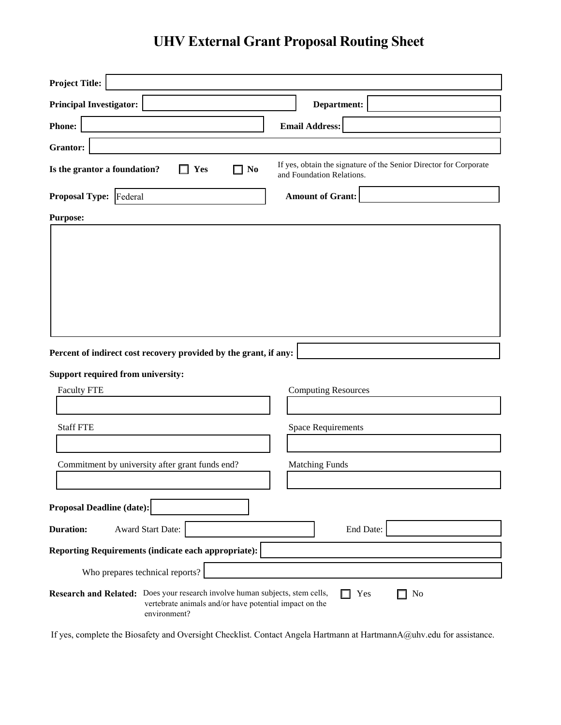## **UHV External Grant Proposal Routing Sheet**

| <b>Project Title:</b>                                                                                                                                  |                                                                                                |
|--------------------------------------------------------------------------------------------------------------------------------------------------------|------------------------------------------------------------------------------------------------|
| <b>Principal Investigator:</b>                                                                                                                         | Department:                                                                                    |
| <b>Phone:</b>                                                                                                                                          | <b>Email Address:</b>                                                                          |
| Grantor:                                                                                                                                               |                                                                                                |
| Is the grantor a foundation?<br>N <sub>0</sub><br>Yes                                                                                                  | If yes, obtain the signature of the Senior Director for Corporate<br>and Foundation Relations. |
| <b>Proposal Type:</b><br>Federal                                                                                                                       | <b>Amount of Grant:</b>                                                                        |
| <b>Purpose:</b>                                                                                                                                        |                                                                                                |
|                                                                                                                                                        |                                                                                                |
| Percent of indirect cost recovery provided by the grant, if any:                                                                                       |                                                                                                |
| Support required from university:                                                                                                                      |                                                                                                |
| <b>Faculty FTE</b>                                                                                                                                     | <b>Computing Resources</b>                                                                     |
| <b>Staff FTE</b>                                                                                                                                       | <b>Space Requirements</b>                                                                      |
|                                                                                                                                                        |                                                                                                |
| Commitment by university after grant funds end?                                                                                                        | <b>Matching Funds</b>                                                                          |
| <b>Proposal Deadline (date):</b>                                                                                                                       |                                                                                                |
| <b>Duration:</b><br>Award Start Date:                                                                                                                  | End Date:                                                                                      |
| <b>Reporting Requirements (indicate each appropriate):</b>                                                                                             |                                                                                                |
| Who prepares technical reports?                                                                                                                        |                                                                                                |
| Research and Related: Does your research involve human subjects, stem cells,<br>vertebrate animals and/or have potential impact on the<br>environment? | Yes<br>No                                                                                      |

If yes, complete the Biosafety and Oversight Checklist. Contact Angela Hartmann at HartmannA@uhv.edu for assistance.